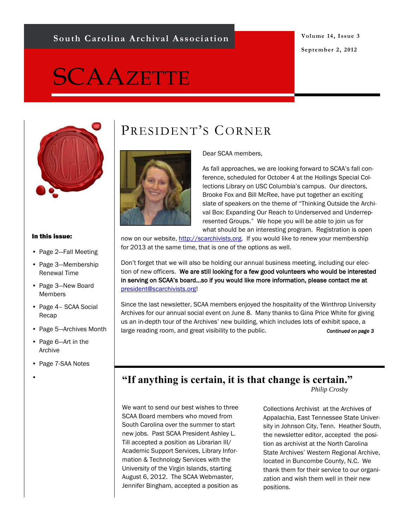#### **South Carolina Archival Association**

#### **Volume 14, Issue 3 September 2, 2012**

# **SCAAZETTE**



#### In this issue:

- Page 2—Fall Meeting
- Page 3—Membership Renewal Time
- Page 3—New Board Members
- Page 4– SCAA Social Recap
- Page 5—Archives Month
- Page 6—Art in the Archive
- Page 7-SAA Notes
- •

# PRESIDENT'S CORNER



#### Dear SCAA members,

As fall approaches, we are looking forward to SCAA's fall conference, scheduled for October 4 at the Hollings Special Collections Library on USC Columbia's campus. Our directors, Brooke Fox and Bill McRee, have put together an exciting slate of speakers on the theme of "Thinking Outside the Archival Box: Expanding Our Reach to Underserved and Underrepresented Groups." We hope you will be able to join us for what should be an interesting program. Registration is open

now on our website, [http://scarchivists.org.](http://scarchivists.org) If you would like to renew your membership for 2013 at the same time, that is one of the options as well.

Don't forget that we will also be holding our annual business meeting, including our election of new officers. We are still looking for a few good volunteers who would be interested in serving on SCAA's board…so if you would like more information, please contact me at [president@scarchivists.org!](mailto:president@scarchivists.org)

Since the last newsletter, SCAA members enjoyed the hospitality of the Winthrop University Archives for our annual social event on June 8. Many thanks to Gina Price White for giving us an in-depth tour of the Archives' new building, which includes lots of exhibit space, a large reading room, and great visibility to the public. **Continued on page 3** 

#### **"If anything is certain, it is that change is certain."**

*Philip Crosby*

We want to send our best wishes to three SCAA Board members who moved from South Carolina over the summer to start new jobs. Past SCAA President Ashley L. Till accepted a position as Librarian III/ Academic Support Services, Library Information & Technology Services with the University of the Virgin Islands, starting August 6, 2012. The SCAA Webmaster, Jennifer Bingham, accepted a position as

Collections Archivist at the Archives of Appalachia, East Tennessee State University in Johnson City, Tenn. Heather South, the newsletter editor, accepted the position as archivist at the North Carolina State Archives' Western Regional Archive, located in Buncombe County, N.C. We thank them for their service to our organization and wish them well in their new positions.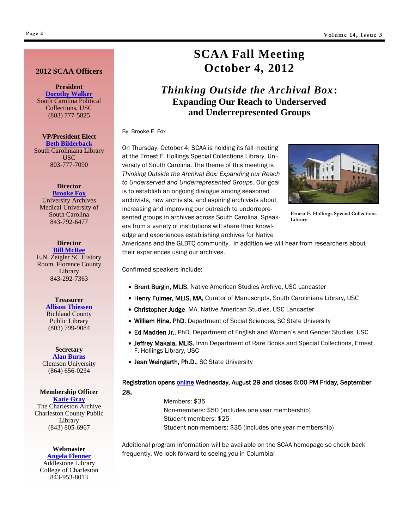#### **2012 SCAA Officers**

**President [Dorothy Walker](mailto:dhazelr@mailbox.sc.edu)** South Carolina Political Collections, USC (803) 777-5825

**VP/President Elect [Beth Bilderback](mailto:BILDERBK@mailbox.sc.edu)** South Caroliniana Library USC 803-777-7090

#### **Director**

**[Brooke Fox](mailto:foxeb@musc.edu)** University Archives Medical University of South Carolina 843-792-6477

**Director [Bill McRee](mailto:bmcree@florencelibrary.org)** E.N. Zeigler SC History Room, Florence County Library 843-292-7363

> **Treasurer [Allison Thiessen](mailto:AThiessen@myrcpl.com)** Richland County Public Library (803) 799-9084

**Secretary [Alan Burns](mailto:ABURNS@clemson.edu)** Clemson University (864) 656-0234

#### **Membership Officer [Katie Gray](mailto:membership@scarchivists.org)**

The Charleston Archive Charleston County Public Library (843) 805-6967

#### **Webmaster [Angela Flenner](mailto:FlennerA@cofc.edu)**

Addlestone Library College of Charleston 843-953-8013

## **SCAA Fall Meeting October 4, 2012**

#### *Thinking Outside the Archival Box***: Expanding Our Reach to Underserved and Underrepresented Groups**

By Brooke E. Fox

On Thursday, October 4, SCAA is holding its fall meeting at the Ernest F. Hollings Special Collections Library, University of South Carolina. The theme of this meeting is *Thinking Outside the Archival Box: Expanding our Reach to Underserved and Underrepresented Groups*. Our goal is to establish an ongoing dialogue among seasoned archivists, new archivists, and aspiring archivists about increasing and improving our outreach to underrepresented groups in archives across South Carolina. Speakers from a variety of institutions will share their knowledge and experiences establishing archives for Native



**Ernest F. Hollings Special Collections Library**

Americans and the GLBTQ community. In addition we will hear from researchers about their experiences using our archives.

Confirmed speakers include:

- Brent Burgin, MLIS, Native American Studies Archive, USC Lancaster
- Henry Fulmer, MLIS, MA, Curator of Manuscripts, South Caroliniana Library, USC
- Christopher Judge, MA, Native American Studies, USC Lancaster
- William Hine, PhD, Department of Social Sciences, SC State University
- Ed Madden Jr., PhD, Department of English and Women's and Gender Studies, USC
- **Jeffrey Makala, MLIS**, Irvin Department of Rare Books and Special Collections, Ernest F. Hollings Library, USC
- Jean Weingarth, Ph.D., SC State University

Registration opens [online](http://scarchivists.org/) Wednesday, August 29 and closes 5:00 PM Friday, September 28.

> Members: \$35 Non-members: \$50 (includes one year membership) Student members: \$25 Student non-members: \$35 (includes one year membership)

Additional program information will be available on the SCAA homepage so check back frequently. We look forward to seeing you in Columbia!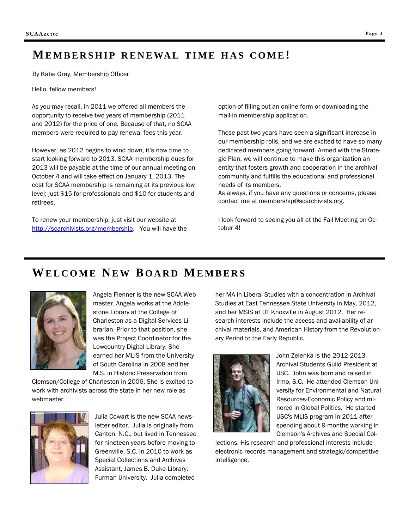#### **ME M B E R S H I P R E N E WA L T I M E H A S C O M E!**

By Katie Gray, Membership Officer

Hello, fellow members!

As you may recall, in 2011 we offered all members the opportunity to receive two years of membership (2011 and 2012) for the price of one. Because of that, no SCAA members were required to pay renewal fees this year.

However, as 2012 begins to wind down, it's now time to start looking forward to 2013. SCAA membership dues for 2013 will be payable at the time of our annual meeting on October 4 and will take effect on January 1, 2013. The cost for SCAA membership is remaining at its previous low level; just \$15 for professionals and \$10 for students and retirees.

To renew your membership, just visit our website at [http://scarchivists.org/membership.](http://scarchivists.org/membership) You will have the option of filling out an online form or downloading the mail-in membership application.

These past two years have seen a significant increase in our membership rolls, and we are excited to have so many dedicated members going forward. Armed with the Strategic Plan, we will continue to make this organization an entity that fosters growth and cooperation in the archival community and fulfills the educational and professional needs of its members.

As always, if you have any questions or concerns, please contact me at membership@scarchivists.org.

I look forward to seeing you all at the Fall Meeting on October 4!

#### **WE L C O M E NE W B O A R D ME M B E R S**



Angela Flenner is the new SCAA Webmaster. Angela works at the Addlestone Library at the College of Charleston as a Digital Services Librarian. Prior to that position, she was the Project Coordinator for the Lowcountry Digital Library. She earned her MLIS from the University of South Carolina in 2008 and her M.S. in Historic Preservation from

Clemson/College of Charleston in 2006. She is excited to work with archivists across the state in her new role as webmaster.



Julia Cowart is the new SCAA newsletter editor. Julia is originally from Canton, N.C., but lived in Tennessee for nineteen years before moving to Greenville, S.C. in 2010 to work as Special Collections and Archives Assistant, James B. Duke Library, Furman University. Julia completed

her MA in Liberal Studies with a concentration in Archival Studies at East Tennessee State University in May, 2012, and her MSIS at UT Knoxville in August 2012. Her research interests include the access and availability of archival materials, and American History from the Revolutionary Period to the Early Republic.



John Zelenka is the 2012-2013 Archival Students Guild President at USC. John was born and raised in Irmo, S.C. He attended Clemson University for Environmental and Natural Resources-Economic Policy and minored in Global Politics. He started USC's MLIS program in 2011 after spending about 9 months working in Clemson's Archives and Special Col-

lections. His research and professional interests include electronic records management and strategic/competitive intelligence.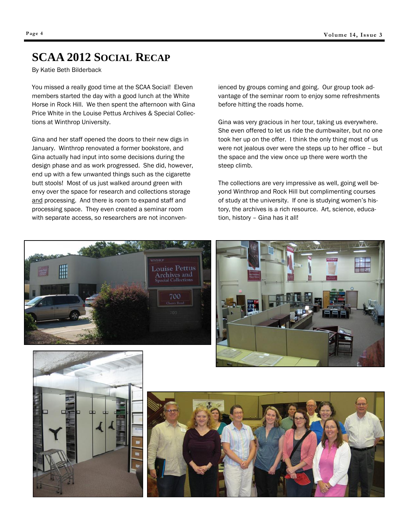## **SCAA 2012 SOCIAL RECAP**

By Katie Beth Bilderback

You missed a really good time at the SCAA Social! Eleven members started the day with a good lunch at the White Horse in Rock Hill. We then spent the afternoon with Gina Price White in the Louise Pettus Archives & Special Collections at Winthrop University.

Gina and her staff opened the doors to their new digs in January. Winthrop renovated a former bookstore, and Gina actually had input into some decisions during the design phase and as work progressed. She did, however, end up with a few unwanted things such as the cigarette butt stools! Most of us just walked around green with envy over the space for research and collections storage and processing. And there is room to expand staff and processing space. They even created a seminar room with separate access, so researchers are not inconvenienced by groups coming and going. Our group took advantage of the seminar room to enjoy some refreshments before hitting the roads home.

Gina was very gracious in her tour, taking us everywhere. She even offered to let us ride the dumbwaiter, but no one took her up on the offer. I think the only thing most of us were not jealous over were the steps up to her office – but the space and the view once up there were worth the steep climb.

The collections are very impressive as well, going well beyond Winthrop and Rock Hill but complimenting courses of study at the university. If one is studying women's history, the archives is a rich resource. Art, science, education, history – Gina has it all!







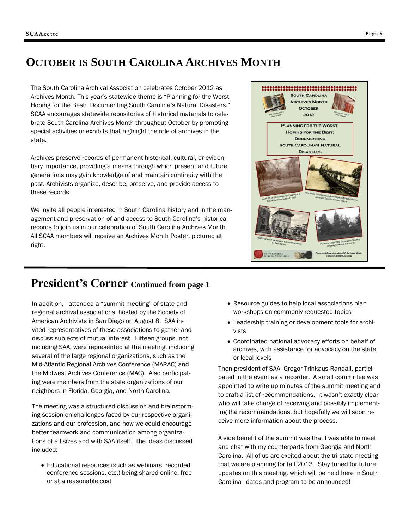## **OCTOBER IS SOUTH CAROLINA ARCHIVES MONTH**

The South Carolina Archival Association celebrates October 2012 as Archives Month. This year's statewide theme is "Planning for the Worst, Hoping for the Best: Documenting South Carolina's Natural Disasters." SCAA encourages statewide repositories of historical materials to celebrate South Carolina Archives Month throughout October by promoting special activities or exhibits that highlight the role of archives in the state.

Archives preserve records of permanent historical, cultural, or evidentiary importance, providing a means through which present and future generations may gain knowledge of and maintain continuity with the past. Archivists organize, describe, preserve, and provide access to these records.

We invite all people interested in South Carolina history and in the management and preservation of and access to South Carolina's historical records to join us in our celebration of South Carolina Archives Month. All SCAA members will receive an Archives Month Poster, pictured at right.



### **President's Corner Continued from page 1**

In addition, I attended a "summit meeting" of state and regional archival associations, hosted by the Society of American Archivists in San Diego on August 8. SAA invited representatives of these associations to gather and discuss subjects of mutual interest. Fifteen groups, not including SAA, were represented at the meeting, including several of the large regional organizations, such as the Mid-Atlantic Regional Archives Conference (MARAC) and the Midwest Archives Conference (MAC). Also participating were members from the state organizations of our neighbors in Florida, Georgia, and North Carolina.

The meeting was a structured discussion and brainstorming session on challenges faced by our respective organizations and our profession, and how we could encourage better teamwork and communication among organizations of all sizes and with SAA itself. The ideas discussed included:

 Educational resources (such as webinars, recorded conference sessions, etc.) being shared online, free or at a reasonable cost

- Resource guides to help local associations plan workshops on commonly-requested topics
- Leadership training or development tools for archivists
- Coordinated national advocacy efforts on behalf of archives, with assistance for advocacy on the state or local levels

Then-president of SAA, Gregor Trinkaus-Randall, participated in the event as a recorder. A small committee was appointed to write up minutes of the summit meeting and to craft a list of recommendations. It wasn't exactly clear who will take charge of receiving and possibly implementing the recommendations, but hopefully we will soon receive more information about the process.

A side benefit of the summit was that I was able to meet and chat with my counterparts from Georgia and North Carolina. All of us are excited about the tri-state meeting that we are planning for fall 2013. Stay tuned for future updates on this meeting, which will be held here in South Carolina—dates and program to be announced!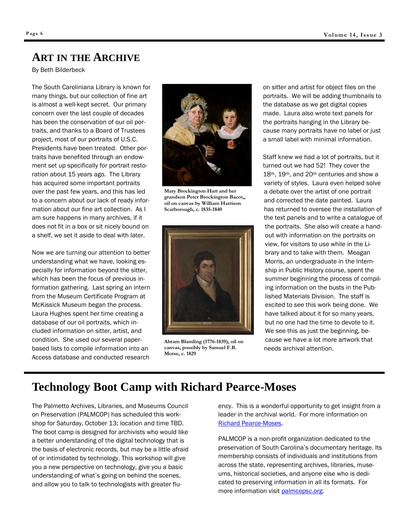#### **ART IN THE ARCHIVE**

By Beth Bilderbeck

The South Caroliniana Library is known for many things, but our collection of fine art is almost a well-kept secret. Our primary concern over the last couple of decades has been the conservation of our oil portraits, and thanks to a Board of Trustees project, most of our portraits of U.S.C. Presidents have been treated. Other portraits have benefited through an endowment set up specifically for portrait restoration about 15 years ago. The Library has acquired some important portraits over the past few years, and this has led to a concern about our lack of ready information about our fine art collection. As I am sure happens in many archives, if it does not fit in a box or sit nicely bound on a shelf, we set it aside to deal with later.

Now we are turning our attention to better understanding what we have, looking especially for information beyond the sitter, which has been the focus of previous information gathering. Last spring an intern from the Museum Certificate Program at McKissick Museum began the process. Laura Hughes spent her time creating a database of our oil portraits, which included information on sitter, artist, and condition. She used our several paperbased lists to compile information into an Access database and conducted research



**Mary Brockington Hart and her grandson Peter Brockington Bacot,, oil on canvas by William Harrison Scarborough, c. 1835-1840**



**Abram Blanding (1776-1839), oil on canvas, possibly by Samuel F.B. Morse, c. 1829**

on sitter and artist for object files on the portraits. We will be adding thumbnails to the database as we get digital copies made. Laura also wrote text panels for the portraits hanging in the Library because many portraits have no label or just a small label with minimal information.

Staff knew we had a lot of portraits, but it turned out we had 52! They cover the 18th, 19th, and 20th centuries and show a variety of styles. Laura even helped solve a debate over the artist of one portrait and corrected the date painted. Laura has returned to oversee the installation of the text panels and to write a catalogue of the portraits. She also will create a handout with information on the portraits on view, for visitors to use while in the Library and to take with them. Meagan Morris, an undergraduate in the Internship in Public History course, spent the summer beginning the process of compiling information on the busts in the Published Materials Division. The staff is excited to see this work being done. We have talked about it for so many years, but no one had the time to devote to it. We see this as just the beginning, because we have a lot more artwork that needs archival attention.

## **Technology Boot Camp with Richard Pearce-Moses**

The Palmetto Archives, Libraries, and Museums Council on Preservation (PALMCOP) has scheduled this workshop for Saturday, October 13; location and time TBD. The boot camp is designed for archivists who would like a better understanding of the digital technology that is the basis of electronic records, but may be a little afraid of or intimidated by technology. This workshop will give you a new perspective on technology, give you a basic understanding of what's going on behind the scenes, and allow you to talk to technologists with greater fluency. This is a wonderful opportunity to get insight from a leader in the archival world. For more information on [Richard Pearce-Moses.](http://www2.archivists.org/history/leaders/richard-pearce-moses)

PALMCOP is a non-profit organization dedicated to the preservation of South Carolina's documentary heritage. Its membership consists of individuals and institutions from across the state, representing archives, libraries, museums, historical societies, and anyone else who is dedicated to preserving information in all its formats. For more information visit [palmcopsc.org.](palmcopsc.org)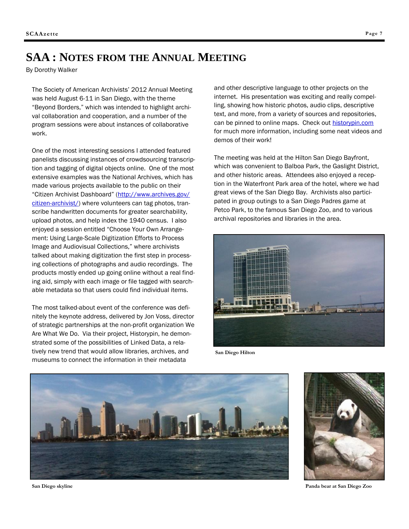## **SAA : NOTES FROM THE ANNUAL MEETING**

By Dorothy Walker

The Society of American Archivists' 2012 Annual Meeting was held August 6-11 in San Diego, with the theme "Beyond Borders," which was intended to highlight archival collaboration and cooperation, and a number of the program sessions were about instances of collaborative work.

One of the most interesting sessions I attended featured panelists discussing instances of crowdsourcing transcription and tagging of digital objects online. One of the most extensive examples was the National Archives, which has made various projects available to the public on their "Citizen Archivist Dashboard" ([http://www.archives.gov/](http://www.archives.gov/citizen-archivist/) [citizen-archivist/\)](http://www.archives.gov/citizen-archivist/) where volunteers can tag photos, transcribe handwritten documents for greater searchability, upload photos, and help index the 1940 census. I also enjoyed a session entitled "Choose Your Own Arrangement: Using Large-Scale Digitization Efforts to Process Image and Audiovisual Collections," where archivists talked about making digitization the first step in processing collections of photographs and audio recordings. The products mostly ended up going online without a real finding aid, simply with each image or file tagged with searchable metadata so that users could find individual items.

The most talked-about event of the conference was definitely the keynote address, delivered by Jon Voss, director of strategic partnerships at the non-profit organization We Are What We Do. Via their project, Historypin, he demonstrated some of the possibilities of Linked Data, a relatively new trend that would allow libraries, archives, and museums to connect the information in their metadata

and other descriptive language to other projects on the internet. His presentation was exciting and really compelling, showing how historic photos, audio clips, descriptive text, and more, from a variety of sources and repositories, can be pinned to online maps. Check out [historypin.com](http://www.historypin.com) for much more information, including some neat videos and demos of their work!

The meeting was held at the Hilton San Diego Bayfront, which was convenient to Balboa Park, the Gaslight District, and other historic areas. Attendees also enjoyed a reception in the Waterfront Park area of the hotel, where we had great views of the San Diego Bay. Archivists also participated in group outings to a San Diego Padres game at Petco Park, to the famous San Diego Zoo, and to various archival repositories and libraries in the area.



**San Diego Hilton**





**Panda bear at San Diego Zoo**

**San Diego skyline**